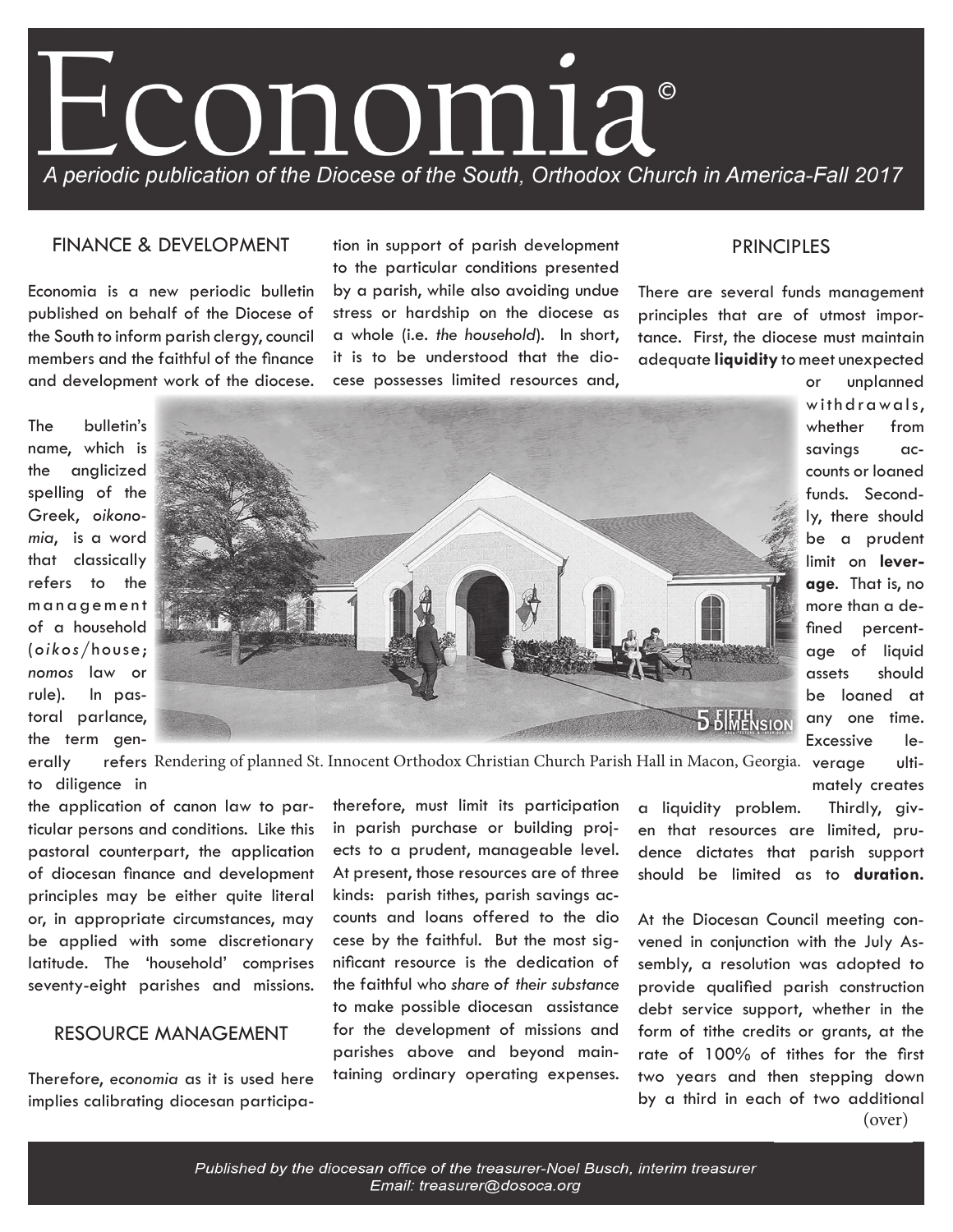

#### FINANCE & DEVELOPMENT

Economia is a new periodic bulletin published on behalf of the Diocese of the South to inform parish clergy, council members and the faithful of the finance and development work of the diocese. tion in support of parish development to the particular conditions presented

by a parish, while also avoiding undue stress or hardship on the diocese as a whole (i.e. *the household*). In short, it is to be understood that the diocese possesses limited resources and,

### PRINCIPLES

There are several funds management principles that are of utmost importance. First, the diocese must maintain adequate **liquidity** to meet unexpected

The bulletin's name, which is the anglicized spelling of the Greek, *oikonomia*, is a word that classically refers to the m a n a g e m e n t of a household (*oikos*/house; *nomos* law or rule). In pastoral parlance, the term gen-



or unplanned withdrawals, whether from savings accounts or loaned funds. Secondly, there should be a prudent limit on **leverage**. That is, no more than a defined percentage of liquid assets should be loaned at any one time. Excessive le-

erally refers Rendering of planned St. Innocent Orthodox Christian Church Parish Hall in Macon, Georgia. verage ultito diligence in mately creates

the application of canon law to particular persons and conditions. Like this pastoral counterpart, the application of diocesan finance and development principles may be either quite literal or, in appropriate circumstances, may be applied with some discretionary latitude. The 'household' comprises seventy-eight parishes and missions.

# RESOURCE MANAGEMENT

Therefore, *economia* as it is used here implies calibrating diocesan participatherefore, must limit its participation in parish purchase or building projects to a prudent, manageable level. At present, those resources are of three kinds: parish tithes, parish savings accounts and loans offered to the dio cese by the faithful. But the most significant resource is the dedication of the faithful who *share of their substance* to make possible diocesan assistance for the development of missions and parishes above and beyond maintaining ordinary operating expenses.

a liquidity problem. Thirdly, given that resources are limited, prudence dictates that parish support should be limited as to **duration.** 

At the Diocesan Council meeting convened in conjunction with the July Assembly, a resolution was adopted to provide qualified parish construction debt service support, whether in the form of tithe credits or grants, at the rate of 100% of tithes for the first two years and then stepping down by a third in each of two additional (over)